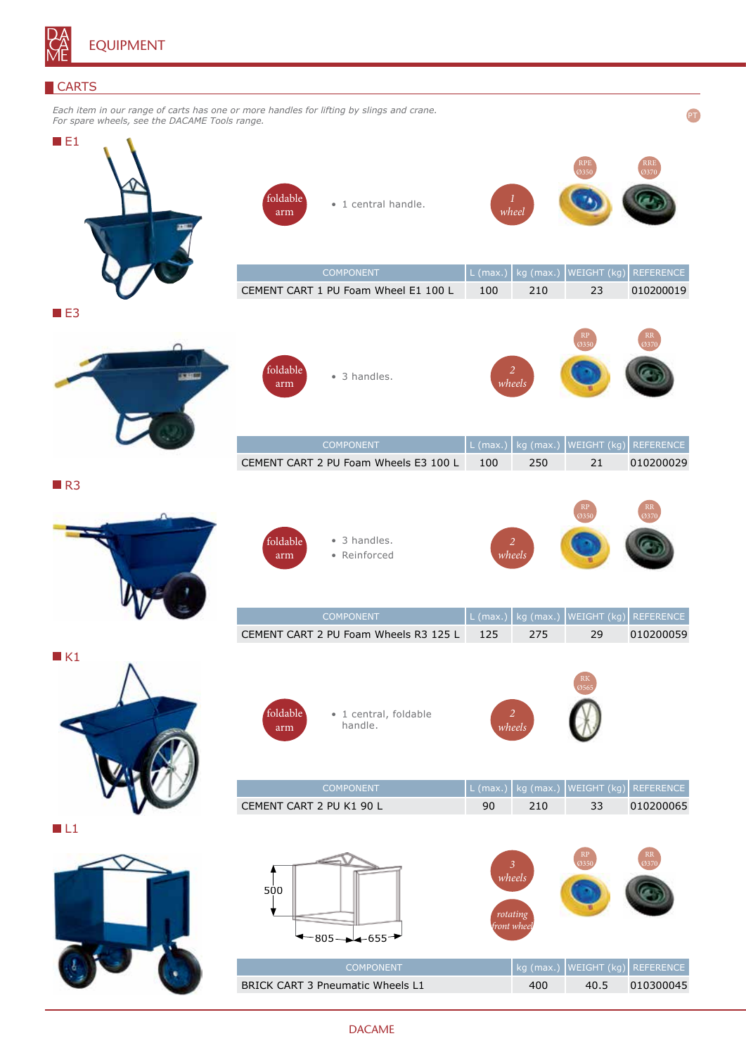

## **CARTS**

| Each item in our range of carts has one or more handles for lifting by slings and crane.<br>For spare wheels, see the DACAME Tools range. |                                                                  |                                       |                                       |                               |  |
|-------------------------------------------------------------------------------------------------------------------------------------------|------------------------------------------------------------------|---------------------------------------|---------------------------------------|-------------------------------|--|
| $\blacksquare$ E1                                                                                                                         | foldable<br>· 1 central handle.<br>arm<br><b>COMPONENT</b>       | wheel<br>$L$ (max.)                   | WEIGHT (kg)<br>kg (max.)              | <b>REFERENCE</b>              |  |
|                                                                                                                                           | CEMENT CART 1 PU Foam Wheel E1 100 L                             | 100                                   | 210<br>23                             | 010200019                     |  |
| $B = 53$<br><b>START</b>                                                                                                                  | foldable<br>• 3 handles.<br>arm                                  | 2<br>wheels                           | 3350                                  | 3370                          |  |
|                                                                                                                                           | <b>COMPONENT</b><br>CEMENT CART 2 PU Foam Wheels E3 100 L        | $L$ (max.<br>100                      | WEIGHT (kg)<br>kg (max.)<br>250<br>21 | <b>REFERENCE</b><br>010200029 |  |
| R3                                                                                                                                        | • 3 handles.<br>foldable<br>• Reinforced<br>arm<br>COMPONENT     | 2<br>wheels<br>$L$ (max.)             | 35<br>WEIGHT (kg)<br>kg (max.)        | RR<br>137<br>REFERENCE        |  |
|                                                                                                                                           | CEMENT CART 2 PU Foam Wheels R3 125 L                            | 125                                   | 275<br>29                             | 010200059                     |  |
| $\blacksquare$ K1                                                                                                                         | foldable<br>· 1 central, foldable<br>handle.<br>arm<br>COMPONENT | 2<br>wheels<br>$L$ (max.)             | WEIGHT (kg)<br>kg (max.)              | REFERENCE                     |  |
|                                                                                                                                           | CEMENT CART 2 PU K1 90 L                                         | 90                                    | 33<br>210                             | 010200065                     |  |
| $\blacksquare$ L1                                                                                                                         | 500<br>$-805 - -655$                                             | 3<br>wheels<br>rotating<br>front whee |                                       |                               |  |
|                                                                                                                                           | COMPONENT                                                        |                                       | WEIGHT (kg)<br>kg (max.)              | REFERENCE                     |  |
|                                                                                                                                           | BRICK CART 3 Pneumatic Wheels L1                                 |                                       | 400<br>40.5                           | 010300045                     |  |

## DACAME